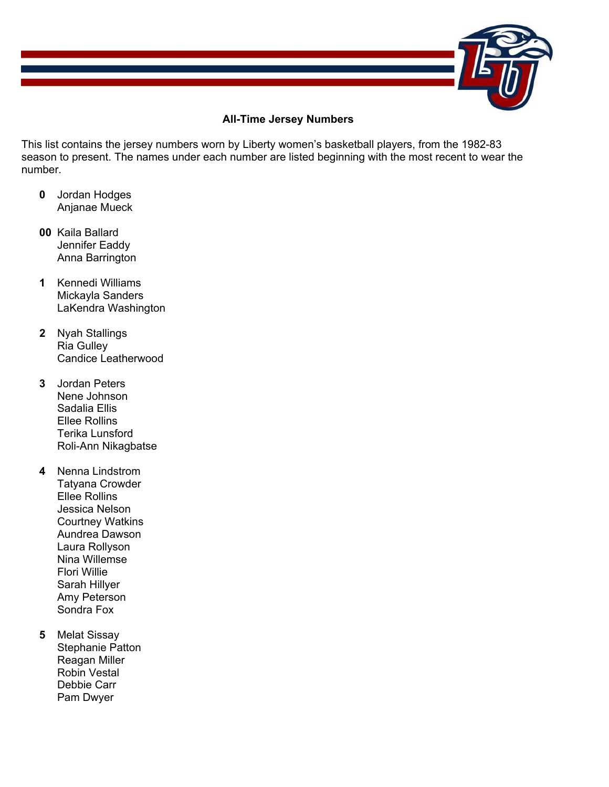

## **All-Time Jersey Numbers**

This list contains the jersey numbers worn by Liberty women's basketball players, from the 1982-83 season to present. The names under each number are listed beginning with the most recent to wear the number.

- **0** Jordan Hodges Anjanae Mueck
- **00** Kaila Ballard Jennifer Eaddy Anna Barrington
- **1** Kennedi Williams Mickayla Sanders LaKendra Washington
- **2** Nyah Stallings Ria Gulley Candice Leatherwood
- **3** Jordan Peters Nene Johnson Sadalia Ellis Ellee Rollins Terika Lunsford Roli-Ann Nikagbatse
- **4** Nenna Lindstrom Tatyana Crowder Ellee Rollins Jessica Nelson Courtney Watkins Aundrea Dawson Laura Rollyson Nina Willemse Flori Willie Sarah Hillyer Amy Peterson Sondra Fox
- **5** Melat Sissay Stephanie Patton Reagan Miller Robin Vestal Debbie Carr Pam Dwyer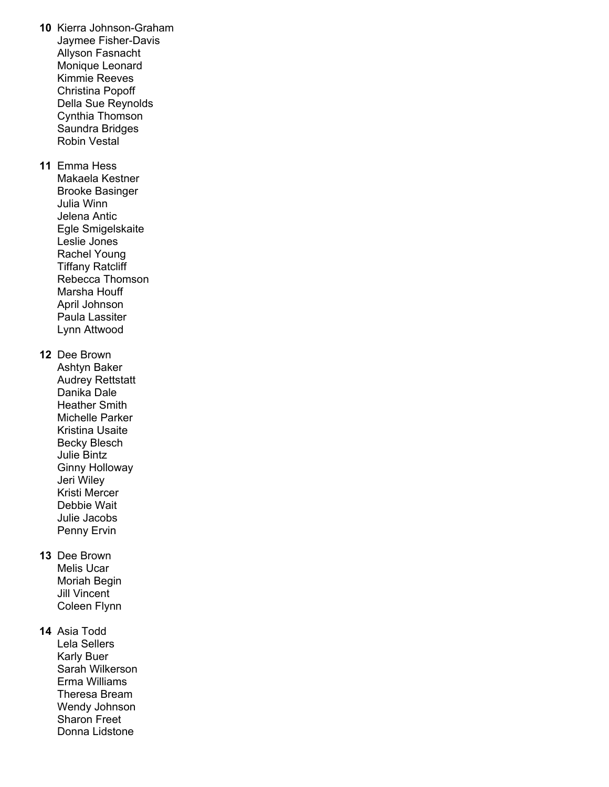**10** Kierra Johnson-Graham Jaymee Fisher-Davis Allyson Fasnacht Monique Leonard Kimmie Reeves Christina Popoff Della Sue Reynolds Cynthia Thomson Saundra Bridges Robin Vestal **11** Emma Hess Makaela Kestner Brooke Basinger Julia Winn Jelena Antic Egle Smigelskaite Leslie Jones Rachel Young Tiffany Ratcliff Rebecca Thomson Marsha Houff April Johnson Paula Lassiter Lynn Attwood **12** Dee Brown Ashtyn Baker Audrey Rettstatt Danika Dale Heather Smith Michelle Parker Kristina Usaite Becky Blesch Julie Bintz Ginny Holloway Jeri Wiley Kristi Mercer Debbie Wait Julie Jacobs Penny Ervin **13** Dee Brown Melis Ucar Moriah Begin Jill Vincent Coleen Flynn **14** Asia Todd Lela Sellers Karly Buer Sarah Wilkerson Erma Williams Theresa Bream Wendy Johnson

> Sharon Freet Donna Lidstone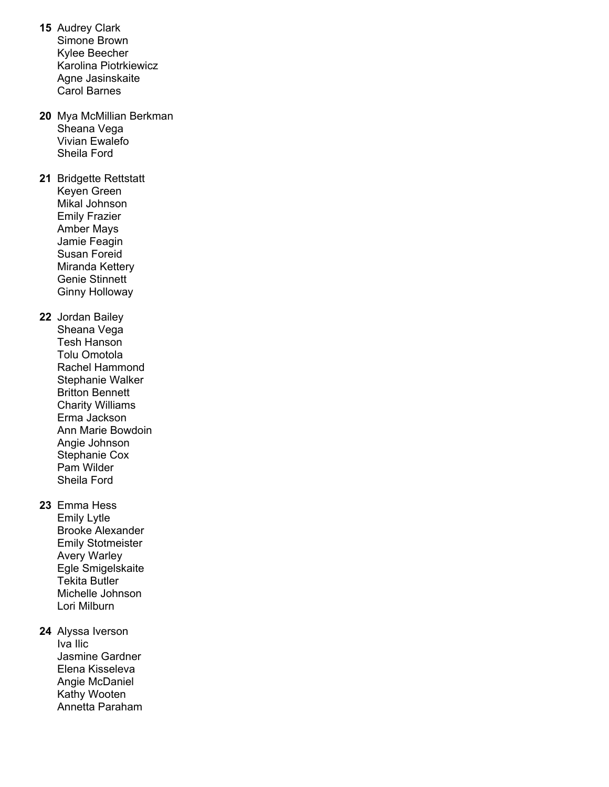- **15** Audrey Clark Simone Brown Kylee Beecher Karolina Piotrkiewicz Agne Jasinskaite Carol Barnes
- **20** Mya McMillian Berkman Sheana Vega Vivian Ewalefo Sheila Ford
- **21** Bridgette Rettstatt Keyen Green Mikal Johnson Emily Frazier Amber Mays Jamie Feagin Susan Foreid Miranda Kettery Genie Stinnett Ginny Holloway
- **22** Jordan Bailey Sheana Vega Tesh Hanson Tolu Omotola Rachel Hammond Stephanie Walker Britton Bennett Charity Williams Erma Jackson Ann Marie Bowdoin Angie Johnson Stephanie Cox Pam Wilder Sheila Ford
- **23** Emma Hess Emily Lytle Brooke Alexander Emily Stotmeister Avery Warley Egle Smigelskaite Tekita Butler Michelle Johnson Lori Milburn
- **24** Alyssa Iverson Iva Ilic Jasmine Gardner Elena Kisseleva Angie McDaniel Kathy Wooten Annetta Paraham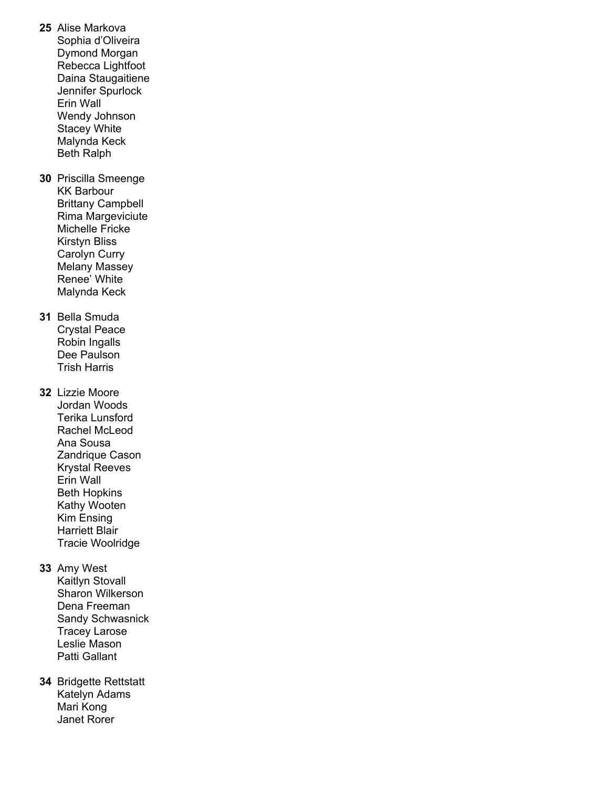- **25** Alise Markova Sophia d'Oliveira Dymond Morgan Rebecca Lightfoot Daina Staugaitiene Jennifer Spurlock Erin Wall Wendy Johnson Stacey White Malynda Keck Beth Ralph **30** Priscilla Smeenge KK Barbour Brittany Campbell Rima Margeviciute Michelle Fricke Kirstyn Bliss Carolyn Curry Melany Massey Renee' White Malynda Keck **31** Bella Smuda Crystal Peace Robin Ingalls Dee Paulson Trish Harris **32** Lizzie Moore Jordan Woods Terika Lunsford Rachel McLeod Ana Sousa Zandrique Cason Krystal Reeves Erin Wall Beth Hopkins Kathy Wooten Kim Ensing Harriett Blair Tracie Woolridge **33** Amy West Kaitlyn Stovall Sharon Wilkerson Dena Freeman Sandy Schwasnick Tracey Larose
- **34** Bridgette Rettstatt Katelyn Adams Mari Kong Janet Rorer

 Leslie Mason Patti Gallant